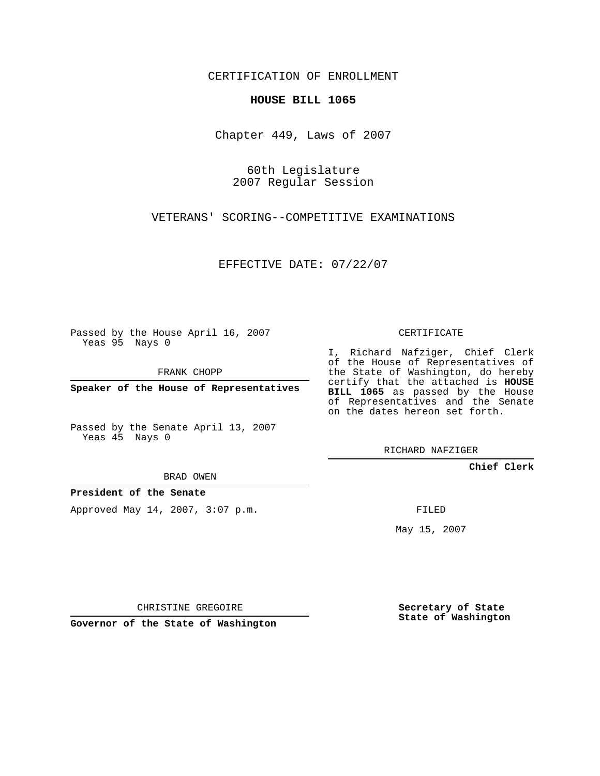CERTIFICATION OF ENROLLMENT

## **HOUSE BILL 1065**

Chapter 449, Laws of 2007

60th Legislature 2007 Regular Session

VETERANS' SCORING--COMPETITIVE EXAMINATIONS

EFFECTIVE DATE: 07/22/07

Passed by the House April 16, 2007 Yeas 95 Nays 0

FRANK CHOPP

**Speaker of the House of Representatives**

Passed by the Senate April 13, 2007 Yeas 45 Nays 0

CERTIFICATE

I, Richard Nafziger, Chief Clerk of the House of Representatives of the State of Washington, do hereby certify that the attached is **HOUSE BILL 1065** as passed by the House of Representatives and the Senate on the dates hereon set forth.

RICHARD NAFZIGER

**Chief Clerk**

BRAD OWEN

**President of the Senate**

Approved May 14, 2007, 3:07 p.m.

FILED

May 15, 2007

CHRISTINE GREGOIRE

**Governor of the State of Washington**

**Secretary of State State of Washington**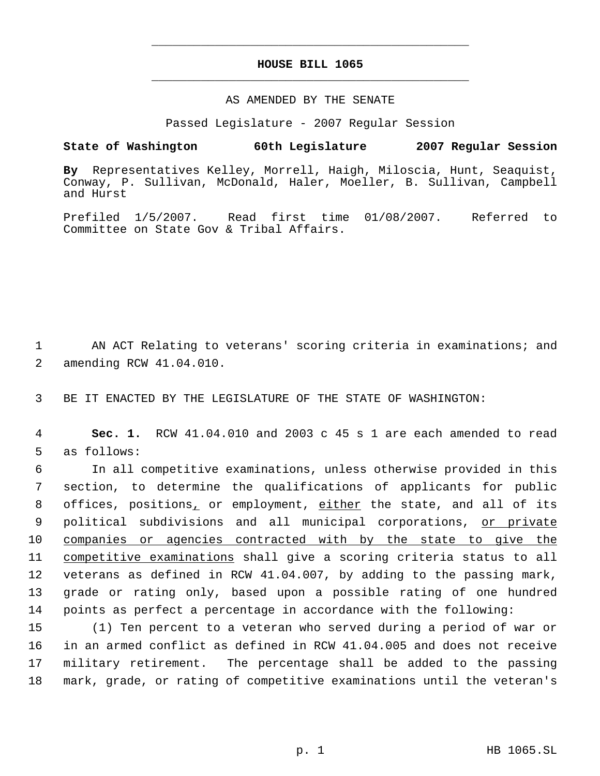## **HOUSE BILL 1065** \_\_\_\_\_\_\_\_\_\_\_\_\_\_\_\_\_\_\_\_\_\_\_\_\_\_\_\_\_\_\_\_\_\_\_\_\_\_\_\_\_\_\_\_\_

\_\_\_\_\_\_\_\_\_\_\_\_\_\_\_\_\_\_\_\_\_\_\_\_\_\_\_\_\_\_\_\_\_\_\_\_\_\_\_\_\_\_\_\_\_

## AS AMENDED BY THE SENATE

Passed Legislature - 2007 Regular Session

## **State of Washington 60th Legislature 2007 Regular Session**

**By** Representatives Kelley, Morrell, Haigh, Miloscia, Hunt, Seaquist, Conway, P. Sullivan, McDonald, Haler, Moeller, B. Sullivan, Campbell and Hurst

Prefiled 1/5/2007. Read first time 01/08/2007. Referred to Committee on State Gov & Tribal Affairs.

 1 AN ACT Relating to veterans' scoring criteria in examinations; and 2 amending RCW 41.04.010.

3 BE IT ENACTED BY THE LEGISLATURE OF THE STATE OF WASHINGTON:

 4 **Sec. 1.** RCW 41.04.010 and 2003 c 45 s 1 are each amended to read 5 as follows:

 In all competitive examinations, unless otherwise provided in this section, to determine the qualifications of applicants for public 8 offices, positions, or employment, either the state, and all of its 9 political subdivisions and all municipal corporations, or private companies or agencies contracted with by the state to give the competitive examinations shall give a scoring criteria status to all veterans as defined in RCW 41.04.007, by adding to the passing mark, grade or rating only, based upon a possible rating of one hundred points as perfect a percentage in accordance with the following:

 (1) Ten percent to a veteran who served during a period of war or in an armed conflict as defined in RCW 41.04.005 and does not receive military retirement. The percentage shall be added to the passing mark, grade, or rating of competitive examinations until the veteran's